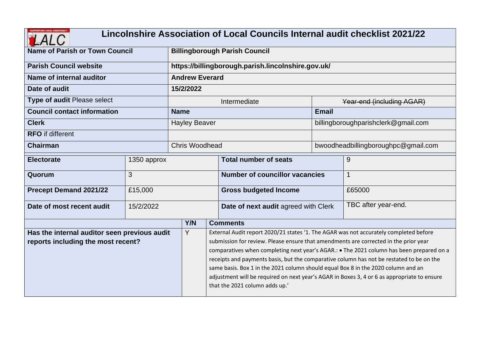|                                                                                    |             |                      |                                                    | Lincolnshire Association of Local Councils Internal audit checklist 2021/22                                                                                                                                                                                                                                                                                                                                                                                                                                                                                                                 |              |                                     |  |  |  |  |
|------------------------------------------------------------------------------------|-------------|----------------------|----------------------------------------------------|---------------------------------------------------------------------------------------------------------------------------------------------------------------------------------------------------------------------------------------------------------------------------------------------------------------------------------------------------------------------------------------------------------------------------------------------------------------------------------------------------------------------------------------------------------------------------------------------|--------------|-------------------------------------|--|--|--|--|
| <b>Name of Parish or Town Council</b>                                              |             |                      |                                                    | <b>Billingborough Parish Council</b>                                                                                                                                                                                                                                                                                                                                                                                                                                                                                                                                                        |              |                                     |  |  |  |  |
| <b>Parish Council website</b>                                                      |             |                      | https://billingborough.parish.lincolnshire.gov.uk/ |                                                                                                                                                                                                                                                                                                                                                                                                                                                                                                                                                                                             |              |                                     |  |  |  |  |
| Name of internal auditor                                                           |             |                      | <b>Andrew Everard</b>                              |                                                                                                                                                                                                                                                                                                                                                                                                                                                                                                                                                                                             |              |                                     |  |  |  |  |
| Date of audit                                                                      |             | 15/2/2022            |                                                    |                                                                                                                                                                                                                                                                                                                                                                                                                                                                                                                                                                                             |              |                                     |  |  |  |  |
| Type of audit Please select                                                        |             |                      |                                                    | Intermediate                                                                                                                                                                                                                                                                                                                                                                                                                                                                                                                                                                                |              | Year-end (including AGAR)           |  |  |  |  |
| <b>Council contact information</b>                                                 |             | <b>Name</b>          |                                                    |                                                                                                                                                                                                                                                                                                                                                                                                                                                                                                                                                                                             | <b>Email</b> |                                     |  |  |  |  |
| <b>Clerk</b>                                                                       |             | <b>Hayley Beaver</b> |                                                    |                                                                                                                                                                                                                                                                                                                                                                                                                                                                                                                                                                                             |              | billingboroughparishclerk@gmail.com |  |  |  |  |
| <b>RFO</b> if different                                                            |             |                      |                                                    |                                                                                                                                                                                                                                                                                                                                                                                                                                                                                                                                                                                             |              |                                     |  |  |  |  |
| <b>Chairman</b>                                                                    |             |                      | <b>Chris Woodhead</b>                              |                                                                                                                                                                                                                                                                                                                                                                                                                                                                                                                                                                                             |              | bwoodheadbillingboroughpc@gmail.com |  |  |  |  |
| <b>Electorate</b>                                                                  | 1350 approx |                      |                                                    | <b>Total number of seats</b>                                                                                                                                                                                                                                                                                                                                                                                                                                                                                                                                                                |              | 9                                   |  |  |  |  |
| Quorum                                                                             | 3           |                      |                                                    | <b>Number of councillor vacancies</b>                                                                                                                                                                                                                                                                                                                                                                                                                                                                                                                                                       |              | $\mathbf{1}$                        |  |  |  |  |
| <b>Precept Demand 2021/22</b>                                                      | £15,000     |                      |                                                    | <b>Gross budgeted Income</b>                                                                                                                                                                                                                                                                                                                                                                                                                                                                                                                                                                |              | £65000                              |  |  |  |  |
| Date of most recent audit                                                          | 15/2/2022   |                      |                                                    | Date of next audit agreed with Clerk                                                                                                                                                                                                                                                                                                                                                                                                                                                                                                                                                        |              | TBC after year-end.                 |  |  |  |  |
|                                                                                    |             | Y/N                  |                                                    | <b>Comments</b>                                                                                                                                                                                                                                                                                                                                                                                                                                                                                                                                                                             |              |                                     |  |  |  |  |
| Has the internal auditor seen previous audit<br>reports including the most recent? |             |                      |                                                    | External Audit report 2020/21 states '1. The AGAR was not accurately completed before<br>submission for review. Please ensure that amendments are corrected in the prior year<br>comparatives when completing next year's AGAR.: . The 2021 column has been prepared on a<br>receipts and payments basis, but the comparative column has not be restated to be on the<br>same basis. Box 1 in the 2021 column should equal Box 8 in the 2020 column and an<br>adjustment will be required on next year's AGAR in Boxes 3, 4 or 6 as appropriate to ensure<br>that the 2021 column adds up.' |              |                                     |  |  |  |  |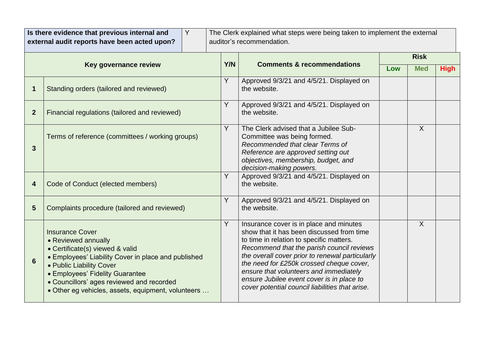|                | Is there evidence that previous internal and<br>Y<br>external audit reports have been acted upon?                                                                                                                                                                                                         |            | The Clerk explained what steps were being taken to implement the external<br>auditor's recommendation.                                                                                                                                                                                                                                                                                                                 |             |            |             |
|----------------|-----------------------------------------------------------------------------------------------------------------------------------------------------------------------------------------------------------------------------------------------------------------------------------------------------------|------------|------------------------------------------------------------------------------------------------------------------------------------------------------------------------------------------------------------------------------------------------------------------------------------------------------------------------------------------------------------------------------------------------------------------------|-------------|------------|-------------|
|                |                                                                                                                                                                                                                                                                                                           |            |                                                                                                                                                                                                                                                                                                                                                                                                                        | <b>Risk</b> |            |             |
|                | Key governance review                                                                                                                                                                                                                                                                                     | <b>Y/N</b> | <b>Comments &amp; recommendations</b>                                                                                                                                                                                                                                                                                                                                                                                  | Low         | <b>Med</b> | <b>High</b> |
| 1              | Standing orders (tailored and reviewed)                                                                                                                                                                                                                                                                   | Y          | Approved 9/3/21 and 4/5/21. Displayed on<br>the website.                                                                                                                                                                                                                                                                                                                                                               |             |            |             |
| $\overline{2}$ | Financial regulations (tailored and reviewed)                                                                                                                                                                                                                                                             | Y          | Approved 9/3/21 and 4/5/21. Displayed on<br>the website.                                                                                                                                                                                                                                                                                                                                                               |             |            |             |
| 3              | Terms of reference (committees / working groups)                                                                                                                                                                                                                                                          | Y          | The Clerk advised that a Jubilee Sub-<br>Committee was being formed.<br>Recommended that clear Terms of<br>Reference are approved setting out<br>objectives, membership, budget, and<br>decision-making powers.                                                                                                                                                                                                        |             | $\sf X$    |             |
| 4              | Code of Conduct (elected members)                                                                                                                                                                                                                                                                         | Y          | Approved 9/3/21 and 4/5/21. Displayed on<br>the website.                                                                                                                                                                                                                                                                                                                                                               |             |            |             |
| 5              | Complaints procedure (tailored and reviewed)                                                                                                                                                                                                                                                              | Y          | Approved 9/3/21 and 4/5/21. Displayed on<br>the website.                                                                                                                                                                                                                                                                                                                                                               |             |            |             |
| 6              | <b>Insurance Cover</b><br>• Reviewed annually<br>• Certificate(s) viewed & valid<br>• Employees' Liability Cover in place and published<br>• Public Liability Cover<br>• Employees' Fidelity Guarantee<br>• Councillors' ages reviewed and recorded<br>• Other eg vehicles, assets, equipment, volunteers | Y          | Insurance cover is in place and minutes<br>show that it has been discussed from time<br>to time in relation to specific matters.<br>Recommend that the parish council reviews<br>the overall cover prior to renewal particularly<br>the need for £250k crossed cheque cover,<br>ensure that volunteers and immediately<br>ensure Jubilee event cover is in place to<br>cover potential council liabilities that arise. |             | $\sf X$    |             |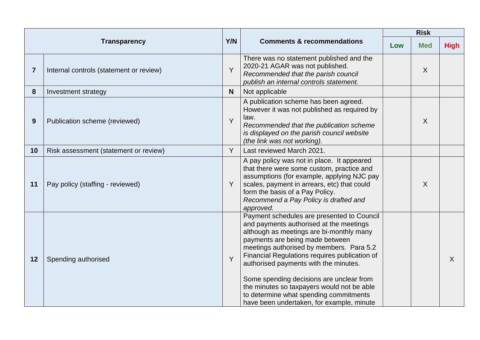|                |                                         |     |                                                                                                                                                                                                                                                                                                                                                                                                                                                                                             | <b>Risk</b> |            |             |
|----------------|-----------------------------------------|-----|---------------------------------------------------------------------------------------------------------------------------------------------------------------------------------------------------------------------------------------------------------------------------------------------------------------------------------------------------------------------------------------------------------------------------------------------------------------------------------------------|-------------|------------|-------------|
|                | <b>Transparency</b>                     | Y/N | <b>Comments &amp; recommendations</b>                                                                                                                                                                                                                                                                                                                                                                                                                                                       | Low         | <b>Med</b> | <b>High</b> |
| $\overline{7}$ | Internal controls (statement or review) | Y   | There was no statement published and the<br>2020-21 AGAR was not published.<br>Recommended that the parish council<br>publish an internal controls statement.                                                                                                                                                                                                                                                                                                                               |             | X          |             |
| 8              | Investment strategy                     | N   | Not applicable                                                                                                                                                                                                                                                                                                                                                                                                                                                                              |             |            |             |
| 9              | Publication scheme (reviewed)           | Y   | A publication scheme has been agreed.<br>However it was not published as required by<br>law.<br>Recommended that the publication scheme<br>is displayed on the parish council website<br>(the link was not working).                                                                                                                                                                                                                                                                        |             | X          |             |
| 10             | Risk assessment (statement or review)   | Y   | Last reviewed March 2021.                                                                                                                                                                                                                                                                                                                                                                                                                                                                   |             |            |             |
| 11             | Pay policy (staffing - reviewed)        | Y   | A pay policy was not in place. It appeared<br>that there were some custom, practice and<br>assumptions (for example, applying NJC pay<br>scales, payment in arrears, etc) that could<br>form the basis of a Pay Policy.<br>Recommend a Pay Policy is drafted and<br>approved.                                                                                                                                                                                                               |             | X          |             |
| 12             | Spending authorised                     | Y   | Payment schedules are presented to Council<br>and payments authorised at the meetings<br>although as meetings are bi-monthly many<br>payments are being made between<br>meetings authorised by members. Para 5.2<br>Financial Regulations requires publication of<br>authorised payments with the minutes.<br>Some spending decisions are unclear from<br>the minutes so taxpayers would not be able<br>to determine what spending commitments<br>have been undertaken, for example, minute |             |            | $\sf X$     |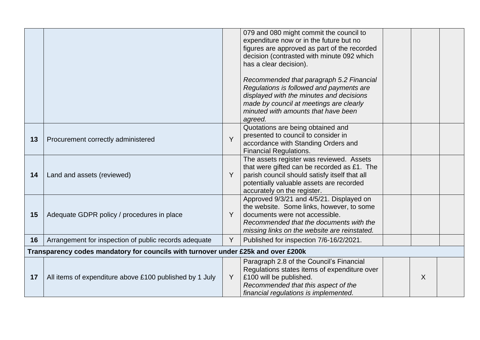|    |                                                                                   |   | 079 and 080 might commit the council to<br>expenditure now or in the future but no<br>figures are approved as part of the recorded<br>decision (contrasted with minute 092 which<br>has a clear decision).<br>Recommended that paragraph 5.2 Financial<br>Regulations is followed and payments are<br>displayed with the minutes and decisions<br>made by council at meetings are clearly<br>minuted with amounts that have been<br>agreed. |         |  |
|----|-----------------------------------------------------------------------------------|---|---------------------------------------------------------------------------------------------------------------------------------------------------------------------------------------------------------------------------------------------------------------------------------------------------------------------------------------------------------------------------------------------------------------------------------------------|---------|--|
| 13 | Procurement correctly administered                                                | Y | Quotations are being obtained and<br>presented to council to consider in<br>accordance with Standing Orders and<br><b>Financial Regulations.</b>                                                                                                                                                                                                                                                                                            |         |  |
| 14 | Land and assets (reviewed)                                                        | Y | The assets register was reviewed. Assets<br>that were gifted can be recorded as £1. The<br>parish council should satisfy itself that all<br>potentially valuable assets are recorded<br>accurately on the register.                                                                                                                                                                                                                         |         |  |
| 15 | Adequate GDPR policy / procedures in place                                        | Y | Approved 9/3/21 and 4/5/21. Displayed on<br>the website. Some links, however, to some<br>documents were not accessible.<br>Recommended that the documents with the<br>missing links on the website are reinstated.                                                                                                                                                                                                                          |         |  |
| 16 | Arrangement for inspection of public records adequate                             | Y | Published for inspection 7/6-16/2/2021.                                                                                                                                                                                                                                                                                                                                                                                                     |         |  |
|    | Transparency codes mandatory for councils with turnover under £25k and over £200k |   |                                                                                                                                                                                                                                                                                                                                                                                                                                             |         |  |
| 17 | All items of expenditure above £100 published by 1 July                           | Y | Paragraph 2.8 of the Council's Financial<br>Regulations states items of expenditure over<br>£100 will be published.<br>Recommended that this aspect of the<br>financial regulations is implemented.                                                                                                                                                                                                                                         | $\sf X$ |  |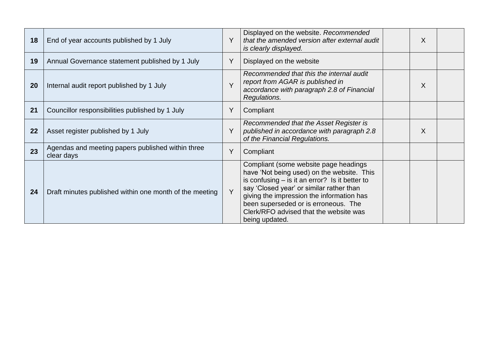| 18 | End of year accounts published by 1 July                        |        | Displayed on the website. Recommended<br>that the amended version after external audit<br>is clearly displayed.                                                                                                                                                                                                                      | $\sf X$ |  |
|----|-----------------------------------------------------------------|--------|--------------------------------------------------------------------------------------------------------------------------------------------------------------------------------------------------------------------------------------------------------------------------------------------------------------------------------------|---------|--|
| 19 | Annual Governance statement published by 1 July                 |        | Displayed on the website                                                                                                                                                                                                                                                                                                             |         |  |
| 20 | Internal audit report published by 1 July                       | $\vee$ | Recommended that this the internal audit<br>report from AGAR is published in<br>accordance with paragraph 2.8 of Financial<br>Regulations.                                                                                                                                                                                           | X       |  |
| 21 | Councillor responsibilities published by 1 July                 | Y      | Compliant                                                                                                                                                                                                                                                                                                                            |         |  |
| 22 | Asset register published by 1 July                              |        | Recommended that the Asset Register is<br>published in accordance with paragraph 2.8<br>of the Financial Regulations.                                                                                                                                                                                                                | X       |  |
| 23 | Agendas and meeting papers published within three<br>clear days | Y      | Compliant                                                                                                                                                                                                                                                                                                                            |         |  |
| 24 | Draft minutes published within one month of the meeting         | Y      | Compliant (some website page headings<br>have 'Not being used) on the website. This<br>is confusing $-$ is it an error? Is it better to<br>say 'Closed year' or similar rather than<br>giving the impression the information has<br>been superseded or is erroneous. The<br>Clerk/RFO advised that the website was<br>being updated. |         |  |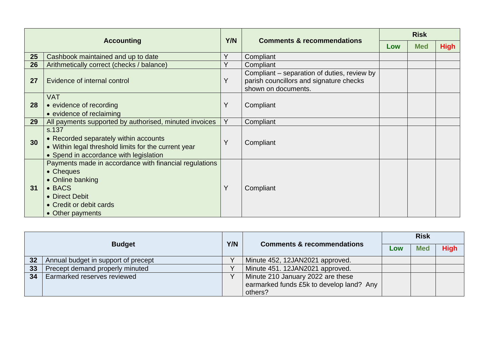|    | <b>Accounting</b>                                                                                                                                                  |     | <b>Comments &amp; recommendations</b>                                                                         | <b>Risk</b> |            |             |  |
|----|--------------------------------------------------------------------------------------------------------------------------------------------------------------------|-----|---------------------------------------------------------------------------------------------------------------|-------------|------------|-------------|--|
|    |                                                                                                                                                                    | Y/N |                                                                                                               | Low         | <b>Med</b> | <b>High</b> |  |
| 25 | Cashbook maintained and up to date                                                                                                                                 | Y   | Compliant                                                                                                     |             |            |             |  |
| 26 | Arithmetically correct (checks / balance)                                                                                                                          | Y   | Compliant                                                                                                     |             |            |             |  |
| 27 | Evidence of internal control                                                                                                                                       | Υ   | Compliant – separation of duties, review by<br>parish councillors and signature checks<br>shown on documents. |             |            |             |  |
| 28 | <b>VAT</b><br>• evidence of recording<br>• evidence of reclaiming                                                                                                  | Ÿ   | Compliant                                                                                                     |             |            |             |  |
| 29 | All payments supported by authorised, minuted invoices                                                                                                             | Y   | Compliant                                                                                                     |             |            |             |  |
| 30 | s.137<br>• Recorded separately within accounts<br>• Within legal threshold limits for the current year<br>• Spend in accordance with legislation                   | Y   | Compliant                                                                                                     |             |            |             |  |
| 31 | Payments made in accordance with financial regulations<br>• Cheques<br>• Online banking<br>• BACS<br>• Direct Debit<br>• Credit or debit cards<br>• Other payments | Y   | Compliant                                                                                                     |             |            |             |  |

|    |                                     | Y/N | <b>Comments &amp; recommendations</b>                                                    | <b>Risk</b> |            |             |
|----|-------------------------------------|-----|------------------------------------------------------------------------------------------|-------------|------------|-------------|
|    | <b>Budget</b>                       |     |                                                                                          | Low         | <b>Med</b> | <b>High</b> |
| 32 | Annual budget in support of precept |     | Minute 452, 12JAN2021 approved.                                                          |             |            |             |
| 33 | Precept demand properly minuted     |     | Minute 451. 12JAN2021 approved.                                                          |             |            |             |
| 34 | Earmarked reserves reviewed         |     | Minute 210 January 2022 are these<br>earmarked funds £5k to develop land? Any<br>others? |             |            |             |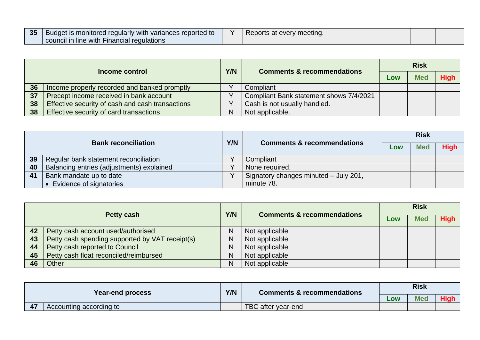| 35 | <b>Budget is monitored regularly with variances reported to</b><br>council in line with Financial regulations |  | Reports at every meeting. |  |  |  |  |
|----|---------------------------------------------------------------------------------------------------------------|--|---------------------------|--|--|--|--|
|----|---------------------------------------------------------------------------------------------------------------|--|---------------------------|--|--|--|--|

| Income control |                                                  | Y/N | <b>Comments &amp; recommendations</b>   | <b>Risk</b> |            |             |
|----------------|--------------------------------------------------|-----|-----------------------------------------|-------------|------------|-------------|
|                |                                                  |     |                                         | Low         | <b>Med</b> | <b>High</b> |
| 36             | Income properly recorded and banked promptly     |     | Compliant                               |             |            |             |
| 37             | Precept income received in bank account          |     | Compliant Bank statement shows 7/4/2021 |             |            |             |
| 38             | Effective security of cash and cash transactions |     | Cash is not usually handled.            |             |            |             |
| 38             | Effective security of card transactions          | N   | Not applicable.                         |             |            |             |

| <b>Bank reconciliation</b> |                                           |     |                                       | <b>Risk</b> |            |             |  |
|----------------------------|-------------------------------------------|-----|---------------------------------------|-------------|------------|-------------|--|
|                            |                                           | Y/N | <b>Comments &amp; recommendations</b> | Low         | <b>Med</b> | <b>High</b> |  |
| 39                         | Regular bank statement reconciliation     |     | Compliant                             |             |            |             |  |
| 40                         | Balancing entries (adjustments) explained |     | None required,                        |             |            |             |  |
| 41                         | Bank mandate up to date                   |     | Signatory changes minuted - July 201, |             |            |             |  |
|                            | • Evidence of signatories                 |     | minute 78.                            |             |            |             |  |

| Petty cash |                                                 | Y/N | <b>Comments &amp; recommendations</b> | <b>Risk</b> |            |             |  |
|------------|-------------------------------------------------|-----|---------------------------------------|-------------|------------|-------------|--|
|            |                                                 |     |                                       | Low         | <b>Med</b> | <b>High</b> |  |
| 42         | Petty cash account used/authorised              | N   | Not applicable                        |             |            |             |  |
| 43         | Petty cash spending supported by VAT receipt(s) | N   | Not applicable                        |             |            |             |  |
| 44         | Petty cash reported to Council                  | N   | Not applicable                        |             |            |             |  |
| 45         | Petty cash float reconciled/reimbursed          | N   | Not applicable                        |             |            |             |  |
| 46         | Other                                           | N   | Not applicable                        |             |            |             |  |

| <b>Year-end process</b> |                         | Y/N | <b>Comments &amp; recommendations</b> | <b>Risk</b> |            |             |  |
|-------------------------|-------------------------|-----|---------------------------------------|-------------|------------|-------------|--|
|                         |                         |     |                                       | LOW         | <b>Med</b> | <b>High</b> |  |
| 47                      | Accounting according to |     | TBC after year-end                    |             |            |             |  |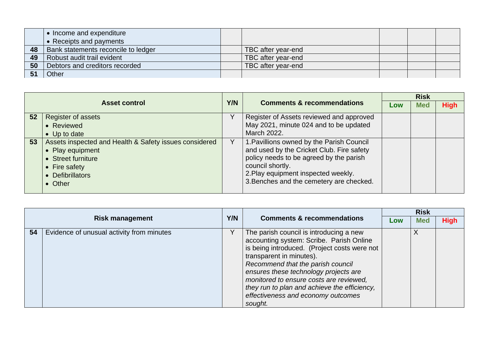|    | • Income and expenditure            |                    |  |  |
|----|-------------------------------------|--------------------|--|--|
|    | • Receipts and payments             |                    |  |  |
| 48 | Bank statements reconcile to ledger | TBC after year-end |  |  |
| 49 | Robust audit trail evident          | TBC after year-end |  |  |
| 50 | Debtors and creditors recorded      | TBC after year-end |  |  |
|    | Other                               |                    |  |  |

|    |                                                                                                                                                  | Y/N |                                                                                                                                                                                                                                          | <b>Risk</b> |            |             |
|----|--------------------------------------------------------------------------------------------------------------------------------------------------|-----|------------------------------------------------------------------------------------------------------------------------------------------------------------------------------------------------------------------------------------------|-------------|------------|-------------|
|    | <b>Asset control</b>                                                                                                                             |     | <b>Comments &amp; recommendations</b>                                                                                                                                                                                                    | Low         | <b>Med</b> | <b>High</b> |
| 52 | <b>Register of assets</b>                                                                                                                        |     | Register of Assets reviewed and approved                                                                                                                                                                                                 |             |            |             |
|    | • Reviewed                                                                                                                                       |     | May 2021, minute 024 and to be updated                                                                                                                                                                                                   |             |            |             |
|    | • Up to date                                                                                                                                     |     | March 2022.                                                                                                                                                                                                                              |             |            |             |
| 53 | Assets inspected and Health & Safety issues considered<br>• Play equipment<br>• Street furniture<br>• Fire safety<br>• Defibrillators<br>• Other |     | 1. Pavillions owned by the Parish Council<br>and used by the Cricket Club. Fire safety<br>policy needs to be agreed by the parish<br>council shortly.<br>2. Play equipment inspected weekly.<br>3. Benches and the cemetery are checked. |             |            |             |

| <b>Risk management</b> |                                           |     |                                                                                                                                                                                                                                                                                                                                                                                           | <b>Risk</b> |            |             |
|------------------------|-------------------------------------------|-----|-------------------------------------------------------------------------------------------------------------------------------------------------------------------------------------------------------------------------------------------------------------------------------------------------------------------------------------------------------------------------------------------|-------------|------------|-------------|
|                        |                                           | Y/N | <b>Comments &amp; recommendations</b>                                                                                                                                                                                                                                                                                                                                                     | Low         | <b>Med</b> | <b>High</b> |
| 54                     | Evidence of unusual activity from minutes |     | The parish council is introducing a new<br>accounting system: Scribe. Parish Online<br>is being introduced. (Project costs were not<br>transparent in minutes).<br>Recommend that the parish council<br>ensures these technology projects are<br>monitored to ensure costs are reviewed,<br>they run to plan and achieve the efficiency,<br>effectiveness and economy outcomes<br>sought. |             |            |             |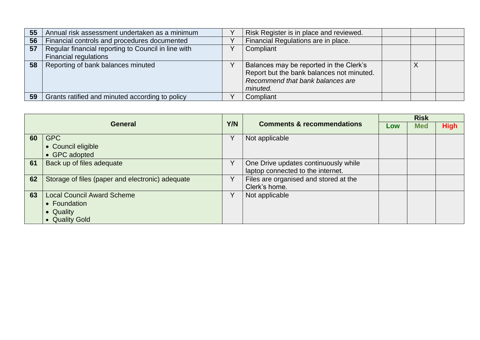| 55 | Annual risk assessment undertaken as a minimum      | Risk Register is in place and reviewed.                                                                                              |  |  |
|----|-----------------------------------------------------|--------------------------------------------------------------------------------------------------------------------------------------|--|--|
| 56 | Financial controls and procedures documented        | Financial Regulations are in place.                                                                                                  |  |  |
| 57 | Regular financial reporting to Council in line with | Compliant                                                                                                                            |  |  |
|    | <b>Financial regulations</b>                        |                                                                                                                                      |  |  |
| 58 | Reporting of bank balances minuted                  | Balances may be reported in the Clerk's<br>Report but the bank balances not minuted.<br>Recommend that bank balances are<br>minuted. |  |  |
| 59 | Grants ratified and minuted according to policy     | Compliant                                                                                                                            |  |  |

|    | <b>General</b>                                   |              |                                       | <b>Risk</b> |            |             |
|----|--------------------------------------------------|--------------|---------------------------------------|-------------|------------|-------------|
|    |                                                  |              | <b>Comments &amp; recommendations</b> | Low         | <b>Med</b> | <b>High</b> |
| 60 | <b>GPC</b>                                       | v            | Not applicable                        |             |            |             |
|    | • Council eligible                               |              |                                       |             |            |             |
|    | • GPC adopted                                    |              |                                       |             |            |             |
| 61 | Back up of files adequate                        | V            | One Drive updates continuously while  |             |            |             |
|    |                                                  |              | laptop connected to the internet.     |             |            |             |
| 62 | Storage of files (paper and electronic) adequate | v            | Files are organised and stored at the |             |            |             |
|    |                                                  |              | Clerk's home.                         |             |            |             |
| 63 | <b>Local Council Award Scheme</b>                | $\checkmark$ | Not applicable                        |             |            |             |
|    | • Foundation                                     |              |                                       |             |            |             |
|    | • Quality                                        |              |                                       |             |            |             |
|    | • Quality Gold                                   |              |                                       |             |            |             |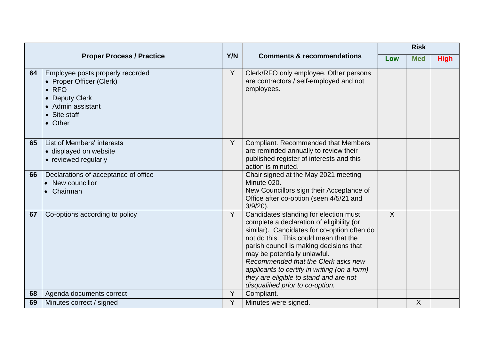|    |                                                                                                                                                    |     |                                                                                                                                                                                                                                                                                                                                                                                                                            | <b>Risk</b> |            |             |
|----|----------------------------------------------------------------------------------------------------------------------------------------------------|-----|----------------------------------------------------------------------------------------------------------------------------------------------------------------------------------------------------------------------------------------------------------------------------------------------------------------------------------------------------------------------------------------------------------------------------|-------------|------------|-------------|
|    | <b>Proper Process / Practice</b>                                                                                                                   | Y/N | <b>Comments &amp; recommendations</b>                                                                                                                                                                                                                                                                                                                                                                                      | Low         | <b>Med</b> | <b>High</b> |
| 64 | Employee posts properly recorded<br>• Proper Officer (Clerk)<br>$\bullet$ RFO<br><b>Deputy Clerk</b><br>Admin assistant<br>• Site staff<br>• Other | Y   | Clerk/RFO only employee. Other persons<br>are contractors / self-employed and not<br>employees.                                                                                                                                                                                                                                                                                                                            |             |            |             |
| 65 | List of Members' interests<br>· displayed on website<br>• reviewed regularly                                                                       | Y   | <b>Compliant. Recommended that Members</b><br>are reminded annually to review their<br>published register of interests and this<br>action is minuted.                                                                                                                                                                                                                                                                      |             |            |             |
| 66 | Declarations of acceptance of office<br>New councillor<br>$\bullet$<br>Chairman                                                                    |     | Chair signed at the May 2021 meeting<br>Minute 020.<br>New Councillors sign their Acceptance of<br>Office after co-option (seen 4/5/21 and<br>$3/9/20$ ).                                                                                                                                                                                                                                                                  |             |            |             |
| 67 | Co-options according to policy                                                                                                                     | Y   | Candidates standing for election must<br>complete a declaration of eligibility (or<br>similar). Candidates for co-option often do<br>not do this. This could mean that the<br>parish council is making decisions that<br>may be potentially unlawful.<br>Recommended that the Clerk asks new<br>applicants to certify in writing (on a form)<br>they are eligible to stand and are not<br>disqualified prior to co-option. | X           |            |             |
| 68 | Agenda documents correct                                                                                                                           | Y   | Compliant.                                                                                                                                                                                                                                                                                                                                                                                                                 |             |            |             |
| 69 | Minutes correct / signed                                                                                                                           | Y   | Minutes were signed.                                                                                                                                                                                                                                                                                                                                                                                                       |             | X          |             |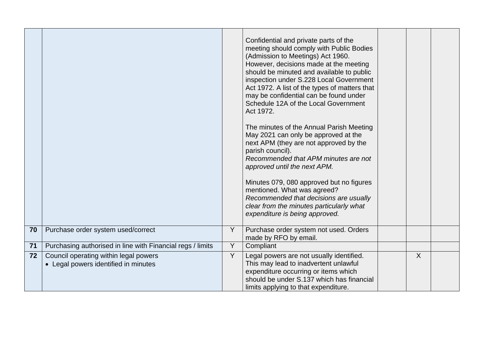|    |                                                                               |   | Confidential and private parts of the<br>meeting should comply with Public Bodies<br>(Admission to Meetings) Act 1960.<br>However, decisions made at the meeting<br>should be minuted and available to public<br>inspection under S.228 Local Government<br>Act 1972. A list of the types of matters that<br>may be confidential can be found under<br>Schedule 12A of the Local Government<br>Act 1972.<br>The minutes of the Annual Parish Meeting<br>May 2021 can only be approved at the<br>next APM (they are not approved by the<br>parish council).<br>Recommended that APM minutes are not<br>approved until the next APM.<br>Minutes 079, 080 approved but no figures<br>mentioned. What was agreed?<br>Recommended that decisions are usually<br>clear from the minutes particularly what<br>expenditure is being approved. |   |  |
|----|-------------------------------------------------------------------------------|---|---------------------------------------------------------------------------------------------------------------------------------------------------------------------------------------------------------------------------------------------------------------------------------------------------------------------------------------------------------------------------------------------------------------------------------------------------------------------------------------------------------------------------------------------------------------------------------------------------------------------------------------------------------------------------------------------------------------------------------------------------------------------------------------------------------------------------------------|---|--|
| 70 | Purchase order system used/correct                                            | Y | Purchase order system not used. Orders<br>made by RFO by email.                                                                                                                                                                                                                                                                                                                                                                                                                                                                                                                                                                                                                                                                                                                                                                       |   |  |
| 71 | Purchasing authorised in line with Financial regs / limits                    | Y | Compliant                                                                                                                                                                                                                                                                                                                                                                                                                                                                                                                                                                                                                                                                                                                                                                                                                             |   |  |
| 72 | Council operating within legal powers<br>• Legal powers identified in minutes | Y | Legal powers are not usually identified.<br>This may lead to inadvertent unlawful<br>expenditure occurring or items which<br>should be under S.137 which has financial<br>limits applying to that expenditure.                                                                                                                                                                                                                                                                                                                                                                                                                                                                                                                                                                                                                        | X |  |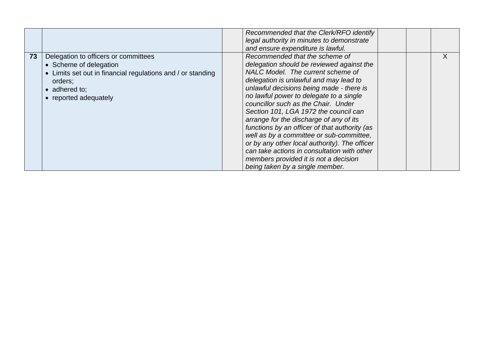|    |                                                                                                                                                                                            | Recommended that the Clerk/RFO identify<br>legal authority in minutes to demonstrate<br>and ensure expenditure is lawful.                                                                                                                                                                                                                                                                                                                                                                                                                                                                                                                             |  |   |
|----|--------------------------------------------------------------------------------------------------------------------------------------------------------------------------------------------|-------------------------------------------------------------------------------------------------------------------------------------------------------------------------------------------------------------------------------------------------------------------------------------------------------------------------------------------------------------------------------------------------------------------------------------------------------------------------------------------------------------------------------------------------------------------------------------------------------------------------------------------------------|--|---|
| 73 | Delegation to officers or committees<br>• Scheme of delegation<br>• Limits set out in financial regulations and / or standing<br>orders;<br>$\bullet$ adhered to:<br>• reported adequately | Recommended that the scheme of<br>delegation should be reviewed against the<br>NALC Model. The current scheme of<br>delegation is unlawful and may lead to<br>unlawful decisions being made - there is<br>no lawful power to delegate to a single<br>councillor such as the Chair. Under<br>Section 101, LGA 1972 the council can<br>arrange for the discharge of any of its<br>functions by an officer of that authority (as<br>well as by a committee or sub-committee,<br>or by any other local authority). The officer<br>can take actions in consultation with other<br>members provided it is not a decision<br>being taken by a single member. |  | X |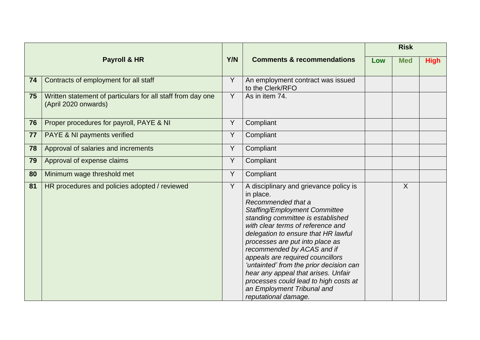|    |                                                                                     |                |                                                                                                                                                                                                                                                                                                                                                                                                                                                                                                                          |     | <b>Risk</b>  |             |
|----|-------------------------------------------------------------------------------------|----------------|--------------------------------------------------------------------------------------------------------------------------------------------------------------------------------------------------------------------------------------------------------------------------------------------------------------------------------------------------------------------------------------------------------------------------------------------------------------------------------------------------------------------------|-----|--------------|-------------|
|    | Payroll & HR                                                                        | Y/N            | <b>Comments &amp; recommendations</b>                                                                                                                                                                                                                                                                                                                                                                                                                                                                                    | Low | <b>Med</b>   | <b>High</b> |
| 74 | Contracts of employment for all staff                                               | Y              | An employment contract was issued<br>to the Clerk/RFO                                                                                                                                                                                                                                                                                                                                                                                                                                                                    |     |              |             |
| 75 | Written statement of particulars for all staff from day one<br>(April 2020 onwards) | Y              | As in item 74.                                                                                                                                                                                                                                                                                                                                                                                                                                                                                                           |     |              |             |
| 76 | Proper procedures for payroll, PAYE & NI                                            | Y              | Compliant                                                                                                                                                                                                                                                                                                                                                                                                                                                                                                                |     |              |             |
| 77 | PAYE & NI payments verified                                                         | $\overline{Y}$ | Compliant                                                                                                                                                                                                                                                                                                                                                                                                                                                                                                                |     |              |             |
| 78 | Approval of salaries and increments                                                 | Y              | Compliant                                                                                                                                                                                                                                                                                                                                                                                                                                                                                                                |     |              |             |
| 79 | Approval of expense claims                                                          | Y              | Compliant                                                                                                                                                                                                                                                                                                                                                                                                                                                                                                                |     |              |             |
| 80 | Minimum wage threshold met                                                          | Y              | Compliant                                                                                                                                                                                                                                                                                                                                                                                                                                                                                                                |     |              |             |
| 81 | HR procedures and policies adopted / reviewed                                       | Y              | A disciplinary and grievance policy is<br>in place.<br>Recommended that a<br><b>Staffing/Employment Committee</b><br>standing committee is established<br>with clear terms of reference and<br>delegation to ensure that HR lawful<br>processes are put into place as<br>recommended by ACAS and if<br>appeals are required councillors<br>'untainted' from the prior decision can<br>hear any appeal that arises. Unfair<br>processes could lead to high costs at<br>an Employment Tribunal and<br>reputational damage. |     | $\mathsf{X}$ |             |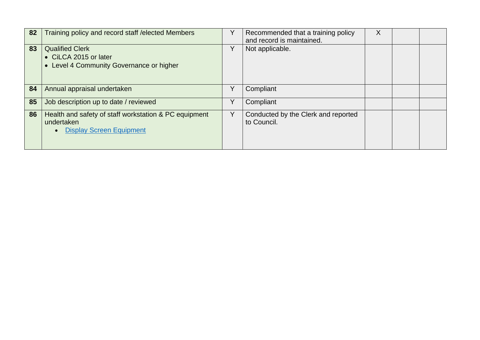| 82 | Training policy and record staff / elected Members                                                                  |   | Recommended that a training policy<br>and record is maintained. | X |  |
|----|---------------------------------------------------------------------------------------------------------------------|---|-----------------------------------------------------------------|---|--|
| 83 | <b>Qualified Clerk</b><br>• CILCA 2015 or later<br>• Level 4 Community Governance or higher                         | Y | Not applicable.                                                 |   |  |
| 84 | Annual appraisal undertaken                                                                                         | Y | Compliant                                                       |   |  |
| 85 | Job description up to date / reviewed                                                                               | Y | Compliant                                                       |   |  |
| 86 | Health and safety of staff workstation & PC equipment<br>undertaken<br><b>Display Screen Equipment</b><br>$\bullet$ | Y | Conducted by the Clerk and reported<br>to Council.              |   |  |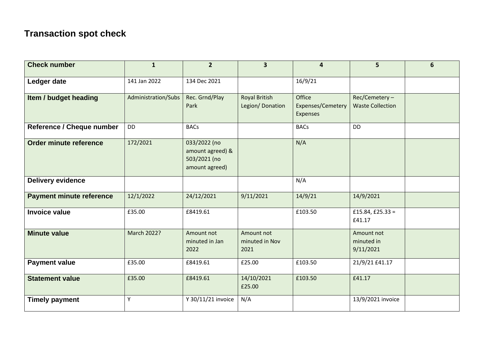## **Transaction spot check**

| <b>Check number</b>              | $\mathbf{1}$        | $\overline{2}$                                                     | $\overline{\mathbf{3}}$                 | 4                                       | 5                                        | 6 |
|----------------------------------|---------------------|--------------------------------------------------------------------|-----------------------------------------|-----------------------------------------|------------------------------------------|---|
| Ledger date                      | 141 Jan 2022        | 134 Dec 2021                                                       |                                         | 16/9/21                                 |                                          |   |
| Item / budget heading            | Administration/Subs | Rec. Grnd/Play<br>Park                                             | <b>Royal British</b><br>Legion/Donation | Office<br>Expenses/Cemetery<br>Expenses | Rec/Cemetery-<br><b>Waste Collection</b> |   |
| <b>Reference / Cheque number</b> | <b>DD</b>           | <b>BACs</b>                                                        |                                         | <b>BACs</b>                             | <b>DD</b>                                |   |
| Order minute reference           | 172/2021            | 033/2022 (no<br>amount agreed) &<br>503/2021 (no<br>amount agreed) |                                         | N/A                                     |                                          |   |
| <b>Delivery evidence</b>         |                     |                                                                    |                                         | N/A                                     |                                          |   |
| <b>Payment minute reference</b>  | 12/1/2022           | 24/12/2021                                                         | 9/11/2021                               | 14/9/21                                 | 14/9/2021                                |   |
| <b>Invoice value</b>             | £35.00              | £8419.61                                                           |                                         | £103.50                                 | £15.84, £25.33 =<br>£41.17               |   |
| <b>Minute value</b>              | March 2022?         | Amount not<br>minuted in Jan<br>2022                               | Amount not<br>minuted in Nov<br>2021    |                                         | Amount not<br>minuted in<br>9/11/2021    |   |
| <b>Payment value</b>             | £35.00              | £8419.61                                                           | £25.00                                  | £103.50                                 | 21/9/21 £41.17                           |   |
| <b>Statement value</b>           | £35.00              | £8419.61                                                           | 14/10/2021<br>£25.00                    | £103.50                                 | £41.17                                   |   |
| <b>Timely payment</b>            | Y                   | Y 30/11/21 invoice                                                 | N/A                                     |                                         | 13/9/2021 invoice                        |   |